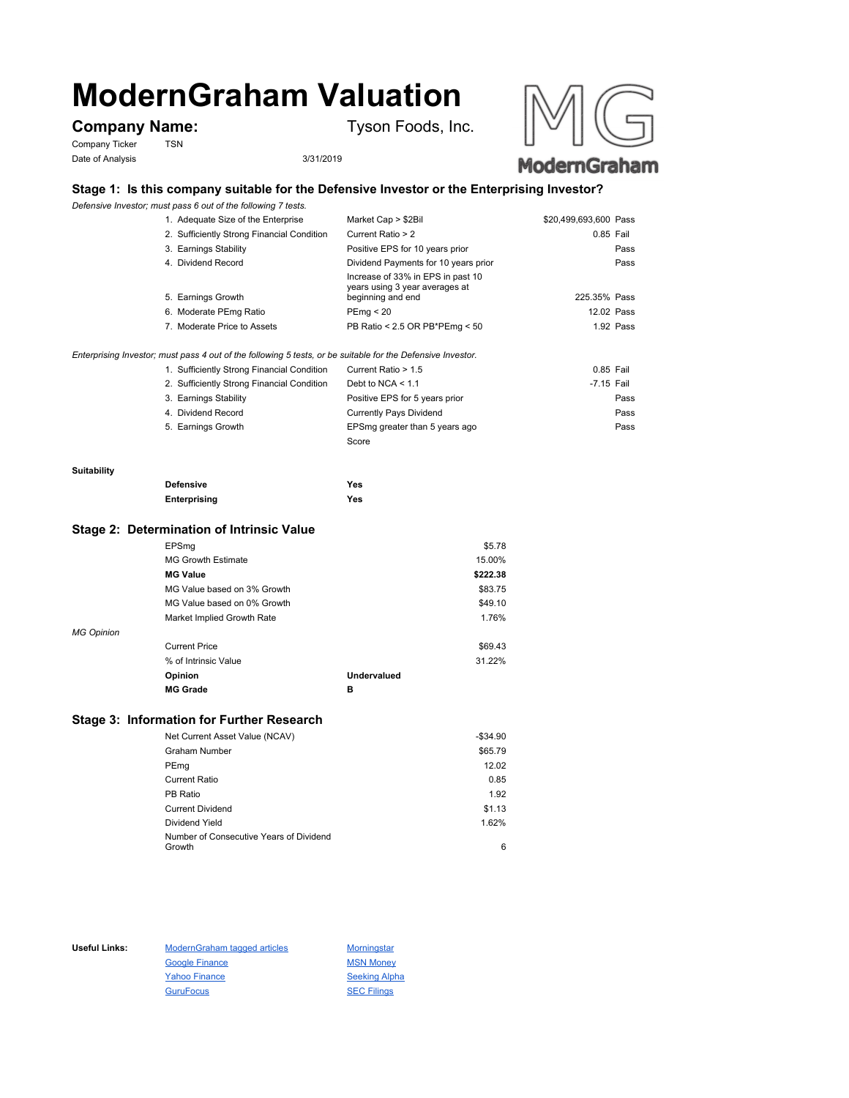# **ModernGraham Valuation**

# Company Name: Tyson Foods, Inc.

Company Ticker TSN Date of Analysis 3/31/2019





# **Stage 1: Is this company suitable for the Defensive Investor or the Enterprising Investor?**

*Defensive Investor; must pass 6 out of the following 7 tests.*

| 1. Adequate Size of the Enterprise                                                                          | Market Cap > \$2Bil                                                                      | \$20,499,693,600 Pass |
|-------------------------------------------------------------------------------------------------------------|------------------------------------------------------------------------------------------|-----------------------|
| 2. Sufficiently Strong Financial Condition                                                                  | Current Ratio > 2                                                                        | 0.85 Fail             |
| 3. Earnings Stability                                                                                       | Positive EPS for 10 years prior                                                          | Pass                  |
| 4. Dividend Record                                                                                          | Dividend Payments for 10 years prior                                                     | Pass                  |
| 5. Earnings Growth                                                                                          | Increase of 33% in EPS in past 10<br>years using 3 year averages at<br>beginning and end | 225.35% Pass          |
| 6. Moderate PEmg Ratio                                                                                      | PEmg < 20                                                                                | 12.02 Pass            |
| 7. Moderate Price to Assets                                                                                 | PB Ratio < 2.5 OR PB*PEmg < 50                                                           | 1.92 Pass             |
| Enterprising Investor; must pass 4 out of the following 5 tests, or be suitable for the Defensive Investor. |                                                                                          |                       |

| 1. Sufficiently Strong Financial Condition | Current Ratio > 1.5            | 0.85 Fail  |      |
|--------------------------------------------|--------------------------------|------------|------|
| 2. Sufficiently Strong Financial Condition | Debt to NCA $<$ 1.1            | -7.15 Fail |      |
| 3. Earnings Stability                      | Positive EPS for 5 years prior |            | Pass |
| 4. Dividend Record                         | <b>Currently Pays Dividend</b> |            | Pass |
| 5. Earnings Growth                         | EPSmg greater than 5 years ago |            | Pass |
|                                            | Score                          |            |      |

## **Suitability**

| <b>Defensive</b> | Yes |
|------------------|-----|
| Enterprising     | Yes |

#### **Stage 2: Determination of Intrinsic Value**

|                   | EPSmg                       |                    | \$5.78   |
|-------------------|-----------------------------|--------------------|----------|
|                   | <b>MG Growth Estimate</b>   |                    | 15.00%   |
|                   | <b>MG Value</b>             |                    | \$222.38 |
|                   | MG Value based on 3% Growth |                    | \$83.75  |
|                   | MG Value based on 0% Growth |                    | \$49.10  |
|                   | Market Implied Growth Rate  |                    | 1.76%    |
| <b>MG Opinion</b> |                             |                    |          |
|                   | <b>Current Price</b>        |                    | \$69.43  |
|                   | % of Intrinsic Value        |                    | 31.22%   |
|                   | Opinion                     | <b>Undervalued</b> |          |
|                   | <b>MG Grade</b>             | в                  |          |
|                   |                             |                    |          |

# **Stage 3: Information for Further Research**

| Net Current Asset Value (NCAV)          | $-$34.90$ |
|-----------------------------------------|-----------|
| Graham Number                           | \$65.79   |
| PEmg                                    | 12.02     |
| Current Ratio                           | 0.85      |
| PB Ratio                                | 1.92      |
| <b>Current Dividend</b>                 | \$1.13    |
| Dividend Yield                          | 1.62%     |
| Number of Consecutive Years of Dividend |           |
| Growth                                  | 6         |

Useful Links: ModernGraham tagged articles Morningstar Google Finance MSN Money Yahoo Finance Seeking Alpha GuruFocus SEC Filings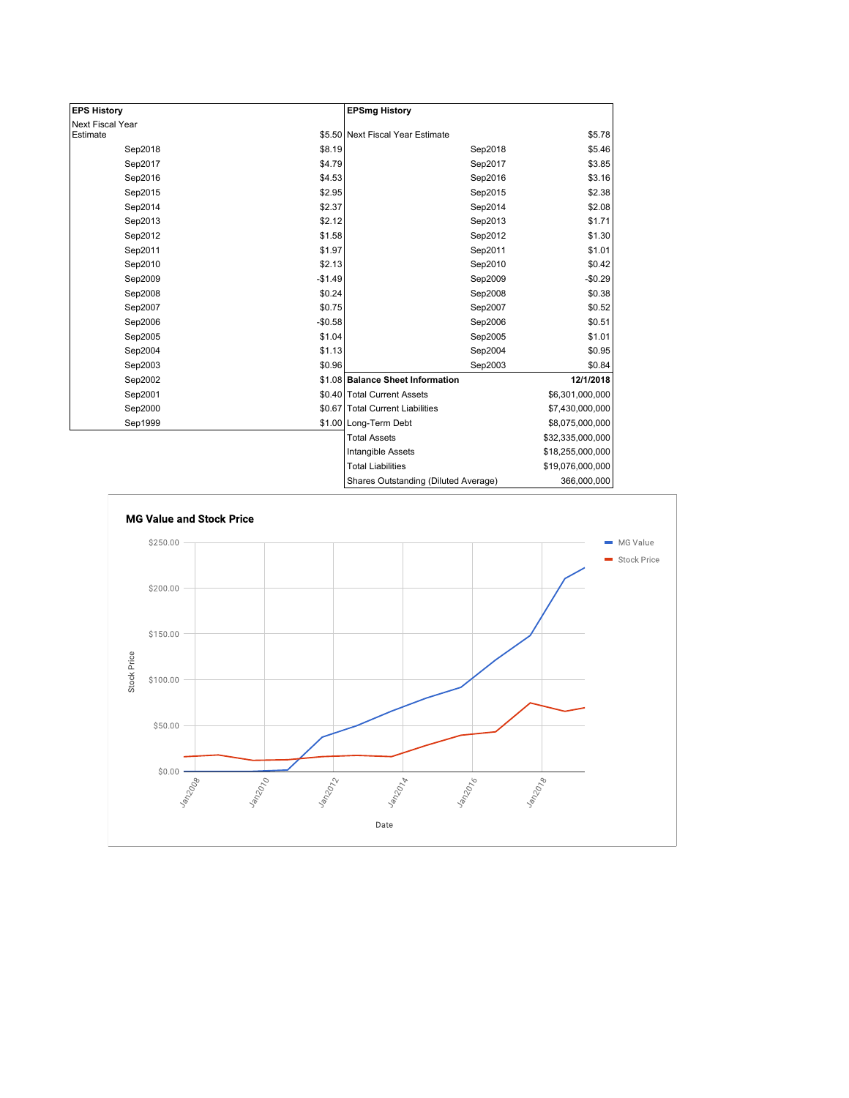| <b>EPS History</b> |          | <b>EPSmg History</b>                     |                  |
|--------------------|----------|------------------------------------------|------------------|
| Next Fiscal Year   |          |                                          |                  |
| Estimate           |          | \$5.50 Next Fiscal Year Estimate         | \$5.78           |
| Sep2018            | \$8.19   | Sep2018                                  | \$5.46           |
| Sep2017            | \$4.79   | Sep2017                                  | \$3.85           |
| Sep2016            | \$4.53   | Sep2016                                  | \$3.16           |
| Sep2015            | \$2.95   | Sep2015                                  | \$2.38           |
| Sep2014            | \$2.37   | Sep2014                                  | \$2.08           |
| Sep2013            | \$2.12   | Sep2013                                  | \$1.71           |
| Sep2012            | \$1.58   | Sep2012                                  | \$1.30           |
| Sep2011            | \$1.97   | Sep2011                                  | \$1.01           |
| Sep2010            | \$2.13   | Sep2010                                  | \$0.42           |
| Sep2009            | $-$1.49$ | Sep2009                                  | $-$0.29$         |
| Sep2008            | \$0.24   | Sep2008                                  | \$0.38           |
| Sep2007            | \$0.75   | Sep2007                                  | \$0.52           |
| Sep2006            | $-$0.58$ | Sep2006                                  | \$0.51           |
| Sep2005            | \$1.04   | Sep2005                                  | \$1.01           |
| Sep2004            | \$1.13   | Sep2004                                  | \$0.95           |
| Sep2003            | \$0.96   | Sep2003                                  | \$0.84           |
| Sep2002            |          | \$1.08 Balance Sheet Information         | 12/1/2018        |
| Sep2001            |          | \$0.40 Total Current Assets              | \$6,301,000,000  |
| Sep2000            |          | \$0.67 Total Current Liabilities         | \$7,430,000,000  |
| Sep1999            |          | \$1.00 Long-Term Debt                    | \$8,075,000,000  |
|                    |          | <b>Total Assets</b>                      | \$32,335,000,000 |
|                    |          | Intangible Assets                        | \$18,255,000,000 |
|                    |          | <b>Total Liabilities</b>                 | \$19,076,000,000 |
|                    |          | $Charca$ $Qutatendina$ $Dilutad$ $lurca$ | 200 ADD ADD      |